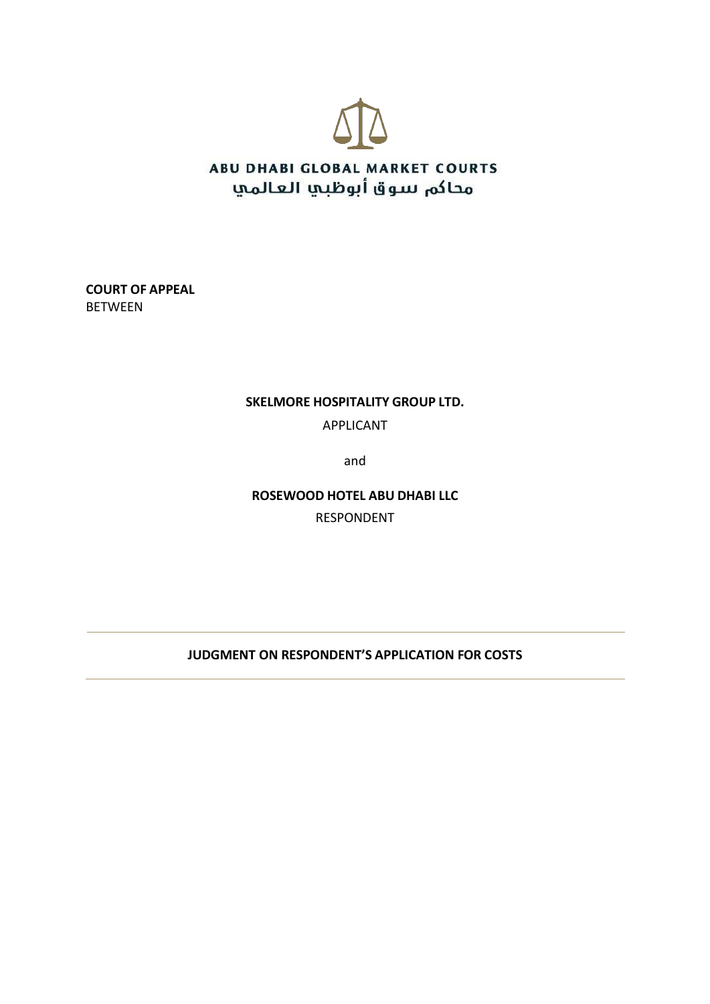

**COURT OF APPEAL** BETWEEN

#### **SKELMORE HOSPITALITY GROUP LTD.**

APPLICANT

and

**ROSEWOOD HOTEL ABU DHABI LLC**

RESPONDENT

### **JUDGMENT ON RESPONDENT'S APPLICATION FOR COSTS**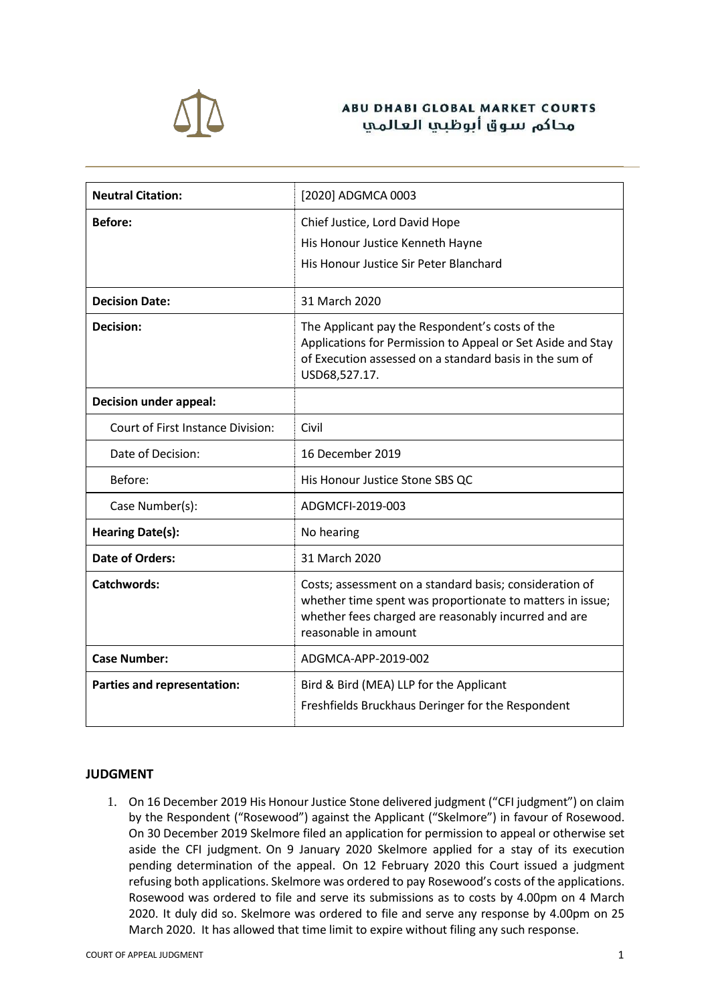

## ABU DHABI GLOBAL MARKET COURTS محاكم سوق أبوظيي العالمي

| <b>Neutral Citation:</b>                 | [2020] ADGMCA 0003                                                                                                                                                                                   |
|------------------------------------------|------------------------------------------------------------------------------------------------------------------------------------------------------------------------------------------------------|
| <b>Before:</b>                           | Chief Justice, Lord David Hope                                                                                                                                                                       |
|                                          | His Honour Justice Kenneth Hayne                                                                                                                                                                     |
|                                          | His Honour Justice Sir Peter Blanchard                                                                                                                                                               |
| <b>Decision Date:</b>                    | 31 March 2020                                                                                                                                                                                        |
| Decision:                                | The Applicant pay the Respondent's costs of the<br>Applications for Permission to Appeal or Set Aside and Stay<br>of Execution assessed on a standard basis in the sum of<br>USD68,527.17.           |
| Decision under appeal:                   |                                                                                                                                                                                                      |
| <b>Court of First Instance Division:</b> | Civil                                                                                                                                                                                                |
| Date of Decision:                        | 16 December 2019                                                                                                                                                                                     |
| Before:                                  | His Honour Justice Stone SBS QC                                                                                                                                                                      |
| Case Number(s):                          | ADGMCFI-2019-003                                                                                                                                                                                     |
| <b>Hearing Date(s):</b>                  | No hearing                                                                                                                                                                                           |
| <b>Date of Orders:</b>                   | 31 March 2020                                                                                                                                                                                        |
| <b>Catchwords:</b>                       | Costs; assessment on a standard basis; consideration of<br>whether time spent was proportionate to matters in issue;<br>whether fees charged are reasonably incurred and are<br>reasonable in amount |
| <b>Case Number:</b>                      | ADGMCA-APP-2019-002                                                                                                                                                                                  |
| Parties and representation:              | Bird & Bird (MEA) LLP for the Applicant                                                                                                                                                              |
|                                          | Freshfields Bruckhaus Deringer for the Respondent                                                                                                                                                    |

### **JUDGMENT**

1. On 16 December 2019 His Honour Justice Stone delivered judgment ("CFI judgment") on claim by the Respondent ("Rosewood") against the Applicant ("Skelmore") in favour of Rosewood. On 30 December 2019 Skelmore filed an application for permission to appeal or otherwise set aside the CFI judgment. On 9 January 2020 Skelmore applied for a stay of its execution pending determination of the appeal. On 12 February 2020 this Court issued a judgment refusing both applications. Skelmore was ordered to pay Rosewood's costs of the applications. Rosewood was ordered to file and serve its submissions as to costs by 4.00pm on 4 March 2020. It duly did so. Skelmore was ordered to file and serve any response by 4.00pm on 25 March 2020. It has allowed that time limit to expire without filing any such response.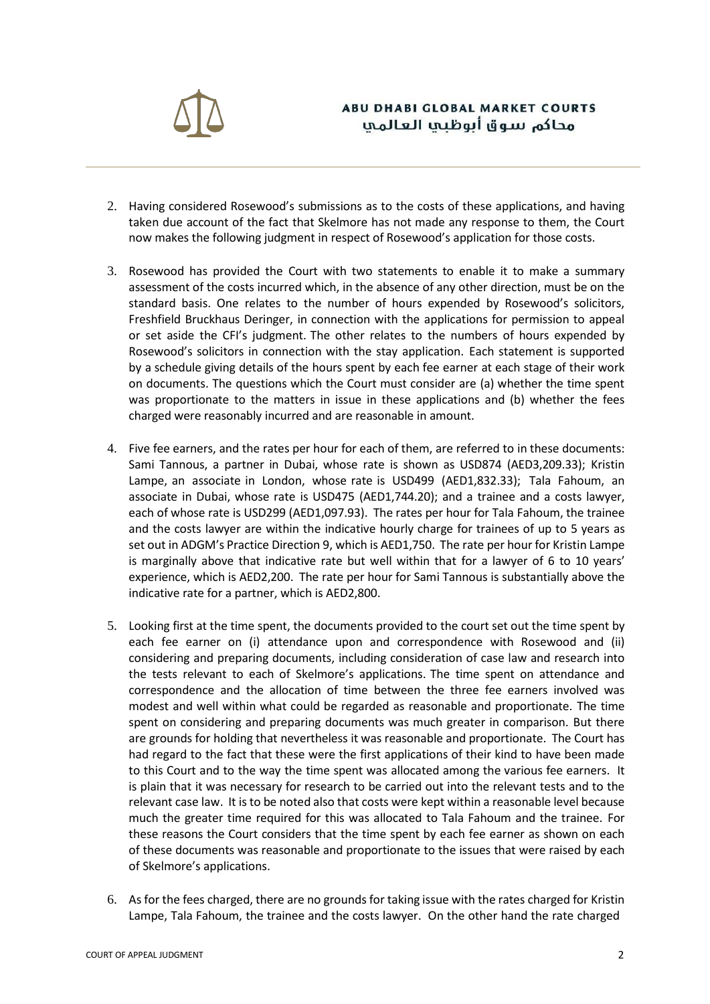

# **ABU DHABI GLOBAL MARKET COURTS** محاكم سوق أبوظيي العالمي

- 2. Having considered Rosewood's submissions as to the costs of these applications, and having taken due account of the fact that Skelmore has not made any response to them, the Court now makes the following judgment in respect of Rosewood's application for those costs.
- 3. Rosewood has provided the Court with two statements to enable it to make a summary assessment of the costs incurred which, in the absence of any other direction, must be on the standard basis. One relates to the number of hours expended by Rosewood's solicitors, Freshfield Bruckhaus Deringer, in connection with the applications for permission to appeal or set aside the CFI's judgment. The other relates to the numbers of hours expended by Rosewood's solicitors in connection with the stay application. Each statement is supported by a schedule giving details of the hours spent by each fee earner at each stage of their work on documents. The questions which the Court must consider are (a) whether the time spent was proportionate to the matters in issue in these applications and (b) whether the fees charged were reasonably incurred and are reasonable in amount.
- 4. Five fee earners, and the rates per hour for each of them, are referred to in these documents: Sami Tannous, a partner in Dubai, whose rate is shown as USD874 (AED3,209.33); Kristin Lampe, an associate in London, whose rate is USD499 (AED1,832.33); Tala Fahoum, an associate in Dubai, whose rate is USD475 (AED1,744.20); and a trainee and a costs lawyer, each of whose rate is USD299 (AED1,097.93). The rates per hour for Tala Fahoum, the trainee and the costs lawyer are within the indicative hourly charge for trainees of up to 5 years as set out in ADGM's Practice Direction 9, which is AED1,750. The rate per hour for Kristin Lampe is marginally above that indicative rate but well within that for a lawyer of 6 to 10 years' experience, which is AED2,200. The rate per hour for Sami Tannous is substantially above the indicative rate for a partner, which is AED2,800.
- 5. Looking first at the time spent, the documents provided to the court set out the time spent by each fee earner on (i) attendance upon and correspondence with Rosewood and (ii) considering and preparing documents, including consideration of case law and research into the tests relevant to each of Skelmore's applications. The time spent on attendance and correspondence and the allocation of time between the three fee earners involved was modest and well within what could be regarded as reasonable and proportionate. The time spent on considering and preparing documents was much greater in comparison. But there are grounds for holding that nevertheless it was reasonable and proportionate. The Court has had regard to the fact that these were the first applications of their kind to have been made to this Court and to the way the time spent was allocated among the various fee earners. It is plain that it was necessary for research to be carried out into the relevant tests and to the relevant case law. It is to be noted also that costs were kept within a reasonable level because much the greater time required for this was allocated to Tala Fahoum and the trainee. For these reasons the Court considers that the time spent by each fee earner as shown on each of these documents was reasonable and proportionate to the issues that were raised by each of Skelmore's applications.
- 6. As for the fees charged, there are no grounds for taking issue with the rates charged for Kristin Lampe, Tala Fahoum, the trainee and the costs lawyer. On the other hand the rate charged